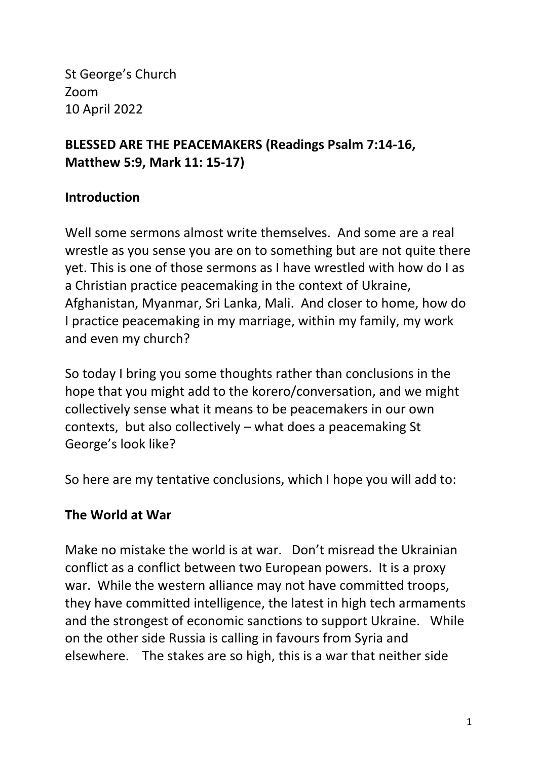St George's Church Zoom 10 April 2022

# **BLESSED ARE THE PEACEMAKERS (Readings Psalm 7:14-16, Matthew 5:9, Mark 11: 15-17)**

## **Introduction**

Well some sermons almost write themselves. And some are a real wrestle as you sense you are on to something but are not quite there yet. This is one of those sermons as I have wrestled with how do I as a Christian practice peacemaking in the context of Ukraine, Afghanistan, Myanmar, Sri Lanka, Mali. And closer to home, how do I practice peacemaking in my marriage, within my family, my work and even my church?

So today I bring you some thoughts rather than conclusions in the hope that you might add to the korero/conversation, and we might collectively sense what it means to be peacemakers in our own contexts, but also collectively – what does a peacemaking St George's look like?

So here are my tentative conclusions, which I hope you will add to:

## **The World at War**

Make no mistake the world is at war. Don't misread the Ukrainian conflict as a conflict between two European powers. It is a proxy war. While the western alliance may not have committed troops, they have committed intelligence, the latest in high tech armaments and the strongest of economic sanctions to support Ukraine. While on the other side Russia is calling in favours from Syria and elsewhere. The stakes are so high, this is a war that neither side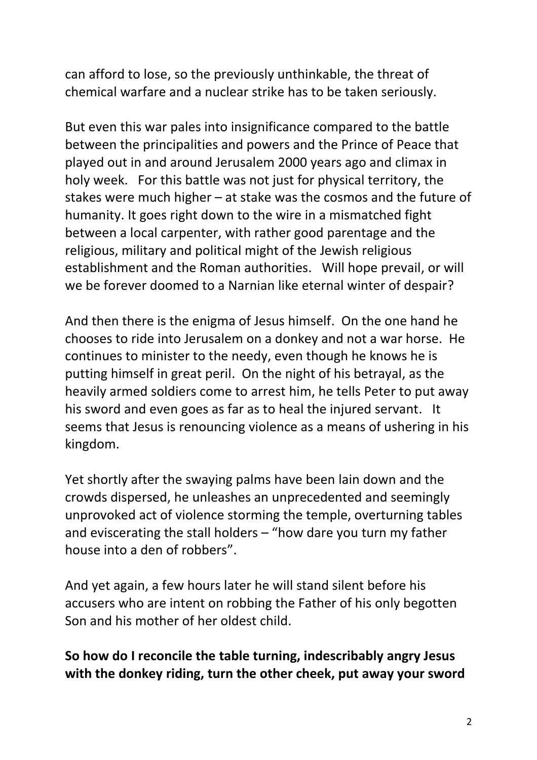can afford to lose, so the previously unthinkable, the threat of chemical warfare and a nuclear strike has to be taken seriously.

But even this war pales into insignificance compared to the battle between the principalities and powers and the Prince of Peace that played out in and around Jerusalem 2000 years ago and climax in holy week. For this battle was not just for physical territory, the stakes were much higher – at stake was the cosmos and the future of humanity. It goes right down to the wire in a mismatched fight between a local carpenter, with rather good parentage and the religious, military and political might of the Jewish religious establishment and the Roman authorities. Will hope prevail, or will we be forever doomed to a Narnian like eternal winter of despair?

And then there is the enigma of Jesus himself. On the one hand he chooses to ride into Jerusalem on a donkey and not a war horse. He continues to minister to the needy, even though he knows he is putting himself in great peril. On the night of his betrayal, as the heavily armed soldiers come to arrest him, he tells Peter to put away his sword and even goes as far as to heal the injured servant.It seems that Jesus is renouncing violence as a means of ushering in his kingdom.

Yet shortly after the swaying palms have been lain down and the crowds dispersed, he unleashes an unprecedented and seemingly unprovoked act of violence storming the temple, overturning tables and eviscerating the stall holders – "how dare you turn my father house into a den of robbers".

And yet again, a few hours later he will stand silent before his accusers who are intent on robbing the Father of his only begotten Son and his mother of her oldest child.

## **So how do I reconcile the table turning, indescribably angry Jesus with the donkey riding, turn the other cheek, put away your sword**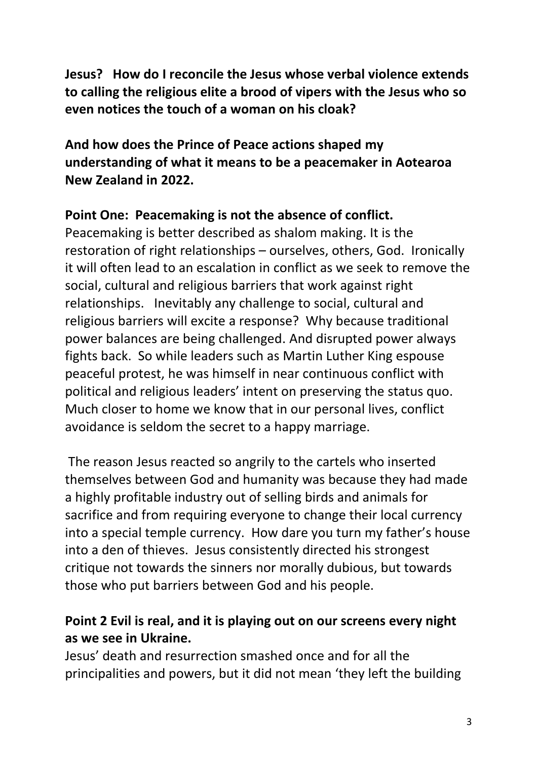**Jesus? How do I reconcile the Jesus whose verbal violence extends to calling the religious elite a brood of vipers with the Jesus who so even notices the touch of a woman on his cloak?** 

**And how does the Prince of Peace actions shaped my understanding of what it means to be a peacemaker in Aotearoa New Zealand in 2022.** 

#### **Point One: Peacemaking is not the absence of conflict.**

Peacemaking is better described as shalom making. It is the restoration of right relationships – ourselves, others, God. Ironically it will often lead to an escalation in conflict as we seek to remove the social, cultural and religious barriers that work against right relationships. Inevitably any challenge to social, cultural and religious barriers will excite a response? Why because traditional power balances are being challenged. And disrupted power always fights back. So while leaders such as Martin Luther King espouse peaceful protest, he was himself in near continuous conflict with political and religious leaders' intent on preserving the status quo. Much closer to home we know that in our personal lives, conflict avoidance is seldom the secret to a happy marriage.

 The reason Jesus reacted so angrily to the cartels who inserted themselves between God and humanity was because they had made a highly profitable industry out of selling birds and animals for sacrifice and from requiring everyone to change their local currency into a special temple currency. How dare you turn my father's house into a den of thieves. Jesus consistently directed his strongest critique not towards the sinners nor morally dubious, but towards those who put barriers between God and his people.

## **Point 2 Evil is real, and it is playing out on our screens every night as we see in Ukraine.**

Jesus' death and resurrection smashed once and for all the principalities and powers, but it did not mean 'they left the building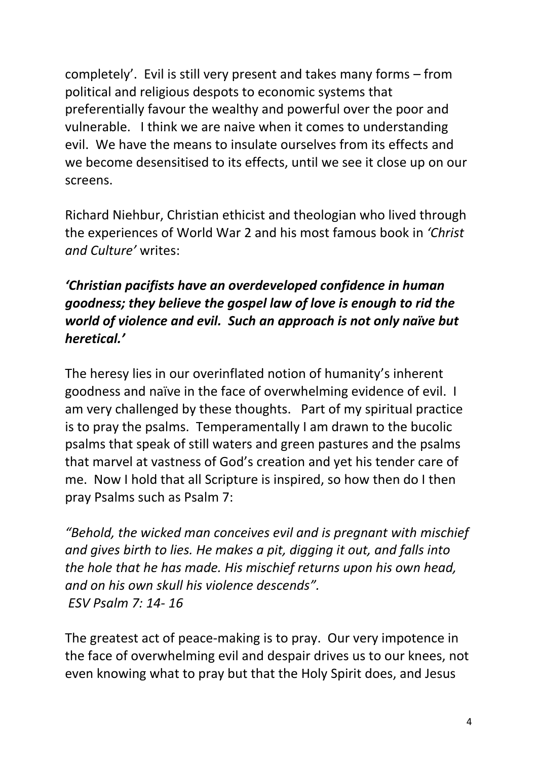completely'. Evil is still very present and takes many forms – from political and religious despots to economic systems that preferentially favour the wealthy and powerful over the poor and vulnerable. I think we are naive when it comes to understanding evil. We have the means to insulate ourselves from its effects and we become desensitised to its effects, until we see it close up on our screens.

Richard Niehbur, Christian ethicist and theologian who lived through the experiences of World War 2 and his most famous book in *'Christ and Culture'* writes:

# *'Christian pacifists have an overdeveloped confidence in human goodness; they believe the gospel law of love is enough to rid the world of violence and evil. Such an approach is not only naïve but heretical.'*

The heresy lies in our overinflated notion of humanity's inherent goodness and naïve in the face of overwhelming evidence of evil. I am very challenged by these thoughts. Part of my spiritual practice is to pray the psalms. Temperamentally I am drawn to the bucolic psalms that speak of still waters and green pastures and the psalms that marvel at vastness of God's creation and yet his tender care of me. Now I hold that all Scripture is inspired, so how then do I then pray Psalms such as Psalm 7:

*"Behold, the wicked man conceives evil and is pregnant with mischief and gives birth to lies. He makes a pit, digging it out, and falls into the hole that he has made. His mischief returns upon his own head, and on his own skull his violence descends". ESV Psalm 7: 14- 16*

The greatest act of peace-making is to pray. Our very impotence in the face of overwhelming evil and despair drives us to our knees, not even knowing what to pray but that the Holy Spirit does, and Jesus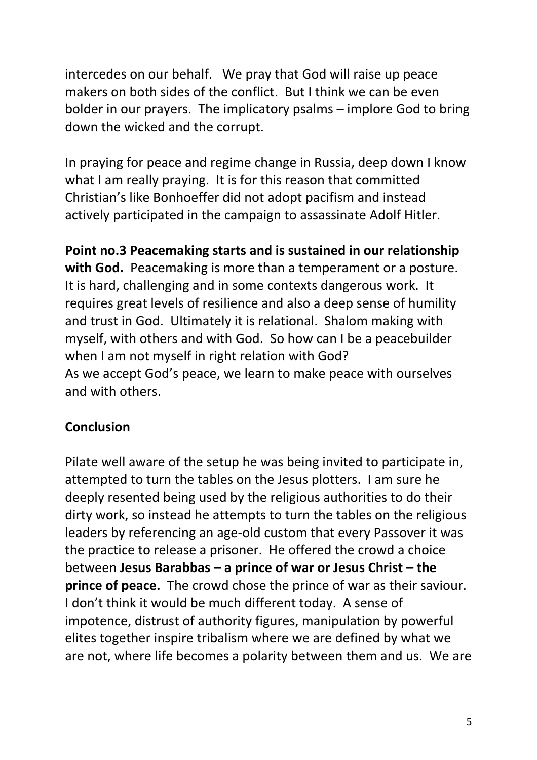intercedes on our behalf. We pray that God will raise up peace makers on both sides of the conflict. But I think we can be even bolder in our prayers. The implicatory psalms – implore God to bring down the wicked and the corrupt.

In praying for peace and regime change in Russia, deep down I know what I am really praying. It is for this reason that committed Christian's like Bonhoeffer did not adopt pacifism and instead actively participated in the campaign to assassinate Adolf Hitler.

**Point no.3 Peacemaking starts and is sustained in our relationship with God.** Peacemaking is more than a temperament or a posture. It is hard, challenging and in some contexts dangerous work. It requires great levels of resilience and also a deep sense of humility and trust in God. Ultimately it is relational. Shalom making with myself, with others and with God. So how can I be a peacebuilder when I am not myself in right relation with God? As we accept God's peace, we learn to make peace with ourselves and with others.

## **Conclusion**

Pilate well aware of the setup he was being invited to participate in, attempted to turn the tables on the Jesus plotters. I am sure he deeply resented being used by the religious authorities to do their dirty work, so instead he attempts to turn the tables on the religious leaders by referencing an age-old custom that every Passover it was the practice to release a prisoner. He offered the crowd a choice between **Jesus Barabbas – a prince of war or Jesus Christ – the prince of peace.** The crowd chose the prince of war as their saviour. I don't think it would be much different today. A sense of impotence, distrust of authority figures, manipulation by powerful elites together inspire tribalism where we are defined by what we are not, where life becomes a polarity between them and us. We are